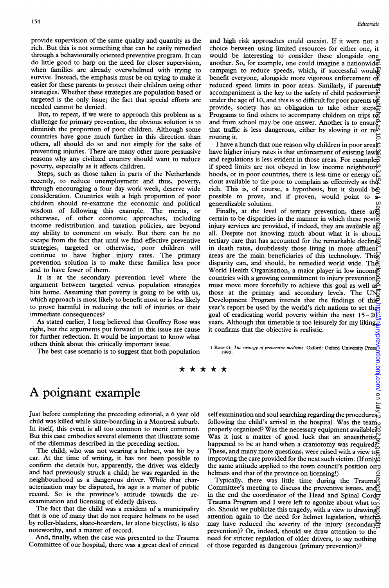provide supervision of the same quality and quantity as the rich. But this is not something that can be easily remedied through a behaviourally oriented preventive program. It can do little good to harp on the need for closer supervision, when families are already overwhelmed with trying to survive. Instead, the emphasis must be on trying to make it easier for these parents to protect their children using other strategies. Whether these strategies are population based or targeted is the only issue; the fact that special efforts are needed cannot be denied.

But, to repeat, if we were to approach this problem as a challenge for primary prevention, the obvious solution is to diminish the proportion of poor children. Although some countries have gone much further in this direction than others, all should do so and not simply for the sake of preventing injuries. There are many other more persuasive reasons why any civilized country should want to reduce poverty, especially as it affects children.

Steps, such as those taken in parts of the Netherlands recently, to reduce unemployment and thus, poverty, through encouraging a four day work week, deserve wide consideration. Countries with a high proportion of poor children should re-examine the economic and political wisdom of following this example. The merits, or otherwise, of other economic approaches, including income redistribution and taxation policies, are beyond my ability to comment on wisely. But there can be no escape from the fact that until we find effective preventive strategies, targeted or otherwise, poor children will continue to have higher injury rates. The primary prevention solution is to make these families less poor and to have fewer of them.

It is at the secondary prevention level where the argument between targeted versus population strategies hits home. Assuming that poverty is going to be with us, which approach is most likely to benefit most or is less likely to prove harmful in reducing the toll of injuries or their immediate consequences?

As stated earlier, <sup>I</sup> long believed that Geoffrey Rose was right, but the arguments put forward in this issue are cause for further reflection. It would be important to know what others think about this critically important issue.

The best case scenario is to suggest that both population

and high risk approaches could coexist. If it were not a choice between using limited resources for either one, it would be interesting to consider these alongside one another. So, for example, one could imagine a nationwide. campaign to reduce speeds, which, if successful would? benefit everyone, alongside more vigorous enforcement of reduced speed limits in poor areas. Similarly, if parental accompaniment is the key to the safety of child pedestrians under the age of 10, and this is so difficult for poor parents to provide, society has an obligation to take other steps $\frac{1}{60}$ Programs to find others to accompany children on trips  $t\bar{g}$ and from school may be one answer. Another is to ensure that traffic is less dangerous, either by slowing it or  $re^{i\pi}$ routing it.

I have a hunch that one reason why children in poor areas: have higher injury rates is that enforcement of existing law $\mathcal{C}$ and regulations is less evident in those areas. For example $\widehat{\vec{P}}$ if speed limits are not obeyed in low income neighbour- $\omega$ hoods, or in poor countries, there is less time or energy or clout available to the poor to complain as effectively as th $\mathcal{L}$ rich. This is, of course, a hypothesis, but it should be possible to prove, and if proven, would point to a generalizable solution.

Finally, at the level of tertiary prevention, there arge certain to be disparities in the manner in which these post $\frac{1}{2}$ injury services are provided, if indeed, they are available a $\bar{R}$ all. Despite not knowing much about what it is about. tertiary care that has accounted for the remarkable declines in death rates, doubtlessly those living in more affluent areas are the main beneficiaries of this technology. This disparity can, and should, be remedied world wide. The World Health Organisation, a major player in low income countries with a growing commitment to injury prevention $\bar{g}$ must move more forcefully to achieve this goal as well as those at the primary and secondary levels. The UN Development Program intends that the findings of this year's report be used by the world's rich nations to set the goal of eradicating world poverty within the next  $15-20$ . years. Although this timetable is too leisurely for my liking, it confirms that the objective is realistic. on Here History of July 2022 of the Unity of the United States of the Vilh Previous published as 10.12.12. Downloaded from India States Prediction. Downloaded from India States Prediction of September 1997. Downloaded from

1 Rose G. *The strategy of preventive medicine*. Oxford: Oxford University Press<sub>91</sub><br>=

# A poignant example

Just before completing the preceding editorial, a 6 year old child was killed while skate-boarding in a Montreal suburb. In itself, this event is all too common to merit comment. But this case embodies several elements that illustrate some of the dilemmas described in the preceding section.

The child, who was not wearing <sup>a</sup> helmet, was hit by <sup>a</sup> car. At the time of writing, it has not been possible to confirm the details but, apparently, the driver was elderly and had previously struck a child; he was regarded in the neighbourhood as a dangerous driver. While that characterization may be disputed, his age is <sup>a</sup> matter of public record. So is the province's attitude towards the reexamination and licensing of elderly drivers.

The fact that the child was <sup>a</sup> resident of <sup>a</sup> municipality that is one of many that do not require helmets to be used by roller-bladers, skate-boarders, let alone bicyclists, is also noteworthy, and a matter of record.

And, finally, when the case was presented to the Trauma Committee of our hospital, there was a great deal of critical

self examination and soul searching regarding the procedures following the child's arrival in the hospital. Was the team properly organized? Was the necessary equipment available Was it just a matter of good luck that an anaesthetist. happened to be at hand when a craniotomy was required? These, and many more questions, were raised with <sup>a</sup> view to improving the care provided for the next such victim. (If only  $\mu$ the same attitude applied to the town council's position on helmets and that of the province on licensing!)

Typically, there was little time during the Trauma Committee's meeting to discuss the preventive issues, and in the end the coordinator of the Head and Spinal Cord Trauma Program and I were left to agonize about what too do. Should we publicize this tragedy, with <sup>a</sup> view to drawing attention again to the need for helmet legislation, which may have reduced the severity of the injury (secondary prevention)? Or, indeed, should we draw attention to the need for stricter regulation of older drivers, to say nothing of those regarded as dangerous (primary prevention)?